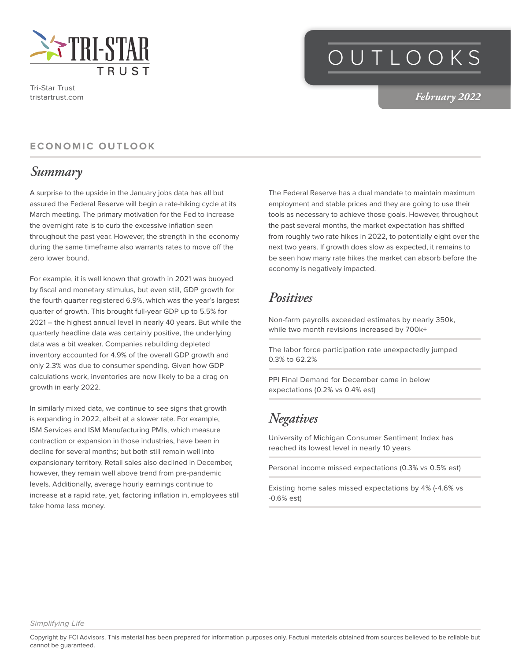

Tri-Star Trust tristartrust.com

# OUTLOOKS

*February 2022*

#### **ECONOMIC OUTLOOK**

#### *Summary*

A surprise to the upside in the January jobs data has all but assured the Federal Reserve will begin a rate-hiking cycle at its March meeting. The primary motivation for the Fed to increase the overnight rate is to curb the excessive inflation seen throughout the past year. However, the strength in the economy during the same timeframe also warrants rates to move off the zero lower bound.

For example, it is well known that growth in 2021 was buoyed by fiscal and monetary stimulus, but even still, GDP growth for the fourth quarter registered 6.9%, which was the year's largest quarter of growth. This brought full-year GDP up to 5.5% for 2021 – the highest annual level in nearly 40 years. But while the quarterly headline data was certainly positive, the underlying data was a bit weaker. Companies rebuilding depleted inventory accounted for 4.9% of the overall GDP growth and only 2.3% was due to consumer spending. Given how GDP calculations work, inventories are now likely to be a drag on growth in early 2022.

In similarly mixed data, we continue to see signs that growth is expanding in 2022, albeit at a slower rate. For example, ISM Services and ISM Manufacturing PMIs, which measure contraction or expansion in those industries, have been in decline for several months; but both still remain well into expansionary territory. Retail sales also declined in December, however, they remain well above trend from pre-pandemic levels. Additionally, average hourly earnings continue to increase at a rapid rate, yet, factoring inflation in, employees still take home less money.

The Federal Reserve has a dual mandate to maintain maximum employment and stable prices and they are going to use their tools as necessary to achieve those goals. However, throughout the past several months, the market expectation has shifted from roughly two rate hikes in 2022, to potentially eight over the next two years. If growth does slow as expected, it remains to be seen how many rate hikes the market can absorb before the economy is negatively impacted.

### *Positives*

Non-farm payrolls exceeded estimates by nearly 350k, while two month revisions increased by 700k+

The labor force participation rate unexpectedly jumped 0.3% to 62.2%

PPI Final Demand for December came in below expectations (0.2% vs 0.4% est)

### *Negatives*

University of Michigan Consumer Sentiment Index has reached its lowest level in nearly 10 years

Personal income missed expectations (0.3% vs 0.5% est)

Existing home sales missed expectations by 4% (-4.6% vs -0.6% est)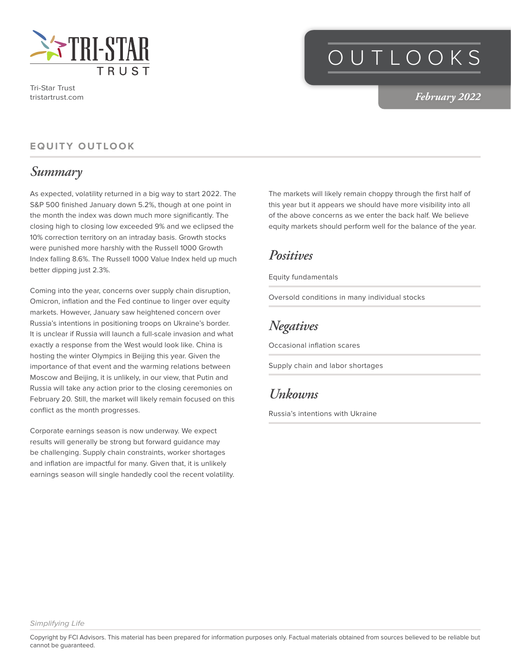

Tri-Star Trust tristartrust.com

# OUTLOOKS

*February 2022*

#### **EQUITY OUTLOOK**

#### *Summary*

As expected, volatility returned in a big way to start 2022. The S&P 500 finished January down 5.2%, though at one point in the month the index was down much more significantly. The closing high to closing low exceeded 9% and we eclipsed the 10% correction territory on an intraday basis. Growth stocks were punished more harshly with the Russell 1000 Growth Index falling 8.6%. The Russell 1000 Value Index held up much better dipping just 2.3%.

Coming into the year, concerns over supply chain disruption, Omicron, inflation and the Fed continue to linger over equity markets. However, January saw heightened concern over Russia's intentions in positioning troops on Ukraine's border. It is unclear if Russia will launch a full-scale invasion and what exactly a response from the West would look like. China is hosting the winter Olympics in Beijing this year. Given the importance of that event and the warming relations between Moscow and Beijing, it is unlikely, in our view, that Putin and Russia will take any action prior to the closing ceremonies on February 20. Still, the market will likely remain focused on this conflict as the month progresses.

Corporate earnings season is now underway. We expect results will generally be strong but forward guidance may be challenging. Supply chain constraints, worker shortages and inflation are impactful for many. Given that, it is unlikely earnings season will single handedly cool the recent volatility.

The markets will likely remain choppy through the first half of this year but it appears we should have more visibility into all of the above concerns as we enter the back half. We believe equity markets should perform well for the balance of the year.

#### *Positives*

Equity fundamentals

Oversold conditions in many individual stocks

### *Negatives*

Occasional inflation scares

Supply chain and labor shortages

#### *Unkowns*

Russia's intentions with Ukraine

*Simplifying Life*

Copyright by FCI Advisors. This material has been prepared for information purposes only. Factual materials obtained from sources believed to be reliable but cannot be guaranteed.